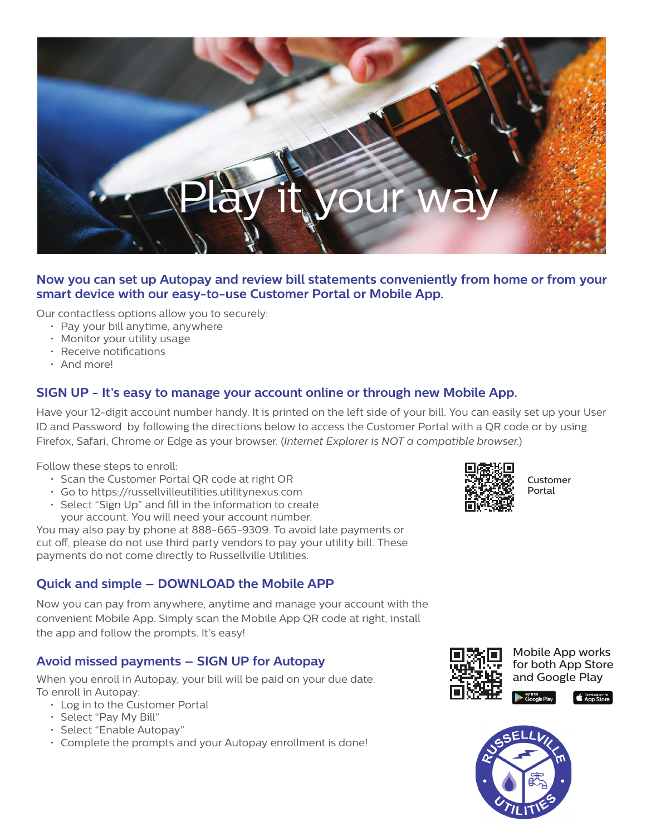

#### **Now you can set up Autopay and review bill statements conveniently from home or from your smart device with our easy-to-use Customer Portal or Mobile App.**

Our contactless options allow you to securely:

- Pay your bill anytime, anywhere
- Monitor your utility usage
- Receive notifications
- And more!

#### **SIGN UP - It's easy to manage your account online or through new Mobile App.**

Have your 12-digit account number handy. It is printed on the left side of your bill. You can easily set up your User ID and Password by following the directions below to access the Customer Portal with a QR code or by using Firefox, Safari, Chrome or Edge as your browser. (*Internet Explorer is NOT a compatible browser.*)

Follow these steps to enroll:

- Scan the Customer Portal QR code at right OR
- Go to https://russellvilleutilities.utilitynexus.com
- Select "Sign Up" and fill in the information to create your account. You will need your account number.

You may also pay by phone at 888-665-9309. To avoid late payments or cut off, please do not use third party vendors to pay your utility bill. These payments do not come directly to Russellville Utilities.

#### **Quick and simple – DOWNLOAD the Mobile APP**

Now you can pay from anywhere, anytime and manage your account with the convenient Mobile App. Simply scan the Mobile App QR code at right, install the app and follow the prompts. It's easy!

### **Avoid missed payments – SIGN UP for Autopay**

When you enroll in Autopay, your bill will be paid on your due date. To enroll in Autopay:

- Log in to the Customer Portal
- Select "Pay My Bill"
- Select "Enable Autopay"
- Complete the prompts and your Autopay enrollment is done!



Customer Portal



Mobile App works for both App Store and Google Play